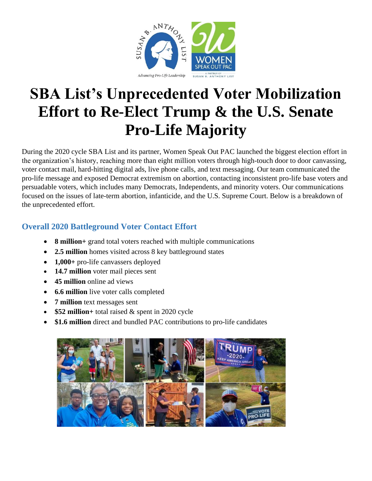

# **SBA List's Unprecedented Voter Mobilization Effort to Re-Elect Trump & the U.S. Senate Pro-Life Majority**

During the 2020 cycle SBA List and its partner, Women Speak Out PAC launched the biggest election effort in the organization's history, reaching more than eight million voters through high-touch door to door canvassing, voter contact mail, hard-hitting digital ads, live phone calls, and text messaging. Our team communicated the pro-life message and exposed Democrat extremism on abortion, contacting inconsistent pro-life base voters and persuadable voters, which includes many Democrats, Independents, and minority voters. Our communications focused on the issues of late-term abortion, infanticide, and the U.S. Supreme Court. Below is a breakdown of the unprecedented effort.

## **Overall 2020 Battleground Voter Contact Effort**

- **8 million+** grand total voters reached with multiple communications
- **2.5 million** homes visited across 8 key battleground states
- **1,000+** pro-life canvassers deployed
- **14.7 million** voter mail pieces sent
- **45 million** online ad views
- **6.6 million** live voter calls completed
- **7 million** text messages sent
- **\$52 million**+ total raised & spent in 2020 cycle
- **\$1.6 million** direct and bundled PAC contributions to pro-life candidates

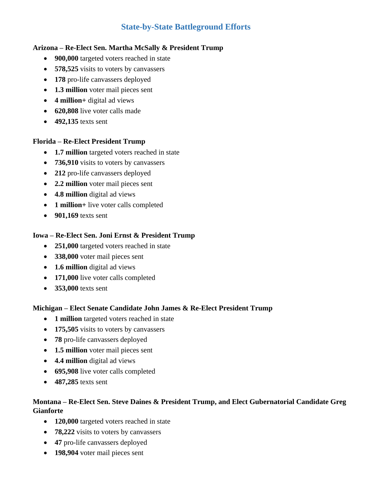### **State-by-State Battleground Efforts**

#### **Arizona – Re-Elect Sen. Martha McSally & President Trump**

- **900,000** targeted voters reached in state
- **578,525** visits to voters by canvassers
- **178** pro-life canvassers deployed
- **1.3 million** voter mail pieces sent
- **4 million+** digital ad views
- **620,808** live voter calls made
- **492,135** texts sent

#### **Florida – Re-Elect President Trump**

- **1.7 million** targeted voters reached in state
- **736,910** visits to voters by canvassers
- **212** pro-life canvassers deployed
- **2.2 million** voter mail pieces sent
- **4.8 million** digital ad views
- **1 million**+ live voter calls completed
- **901,169** texts sent

#### **Iowa – Re-Elect Sen. Joni Ernst & President Trump**

- **251,000** targeted voters reached in state
- **338,000** voter mail pieces sent
- **1.6 million** digital ad views
- **171,000** live voter calls completed
- **353,000** texts sent

#### **Michigan – Elect Senate Candidate John James & Re-Elect President Trump**

- **1 million** targeted voters reached in state
- **175,505** visits to voters by canvassers
- **78** pro-life canvassers deployed
- **1.5 million** voter mail pieces sent
- **4.4 million** digital ad views
- **695,908** live voter calls completed
- **487,285** texts sent

#### **Montana – Re-Elect Sen. Steve Daines & President Trump, and Elect Gubernatorial Candidate Greg Gianforte**

- **120,000** targeted voters reached in state
- **78,222** visits to voters by canvassers
- **47** pro-life canvassers deployed
- **198,904** voter mail pieces sent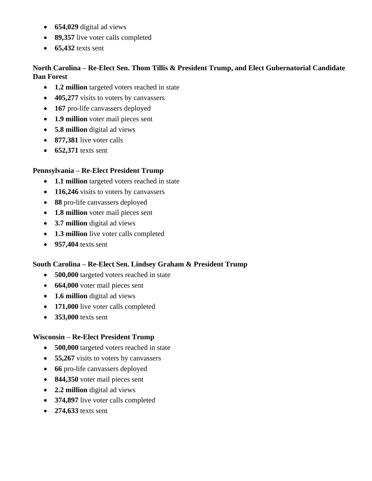- **654,029** digital ad views
- **89,357** live voter calls completed
- **65,432** texts sent

#### **North Carolina – Re-Elect Sen. Thom Tillis & President Trump, and Elect Gubernatorial Candidate Dan Forest**

- **1.2 million** targeted voters reached in state
- **405,277** visits to voters by canvassers
- **167** pro-life canvassers deployed
- **1.9 million** voter mail pieces sent
- **5.8 million** digital ad views
- **877,381** live voter calls
- **652,371** texts sent

#### **Pennsylvania – Re-Elect President Trump**

- **1.1 million** targeted voters reached in state
- **116,246** visits to voters by canvassers
- **88** pro-life canvassers deployed
- **1.8 million** voter mail pieces sent
- **3.7 million** digital ad views
- **1.3 million** live voter calls completed
- **957,404** texts sent

#### **South Carolina – Re-Elect Sen. Lindsey Graham & President Trump**

- **500,000** targeted voters reached in state
- **664,000** voter mail pieces sent
- **1.6 million** digital ad views
- **171,000** live voter calls completed
- **353,000** texts sent

#### **Wisconsin – Re-Elect President Trump**

- **500,000** targeted voters reached in state
- **55,267** visits to voters by canvassers
- **66** pro-life canvassers deployed
- **844,350** voter mail pieces sent
- **2.2 million** digital ad views
- **374,897** live voter calls completed
- **274,633** texts sent